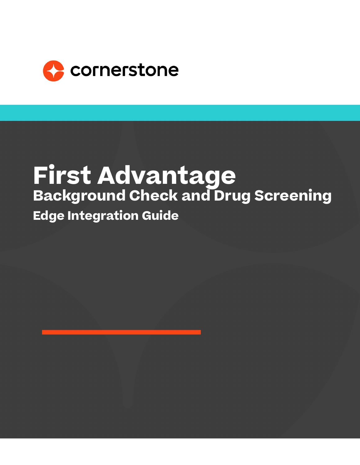

# **First Advantage Background Check and Drug Screening Edge Integration Guide**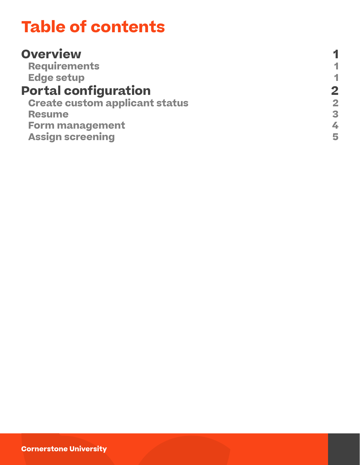### **Table of contents**

| 1                       |
|-------------------------|
| $\mathbf 2$             |
| $\overline{\mathbf{2}}$ |
| 3                       |
| 4                       |
| 5                       |
|                         |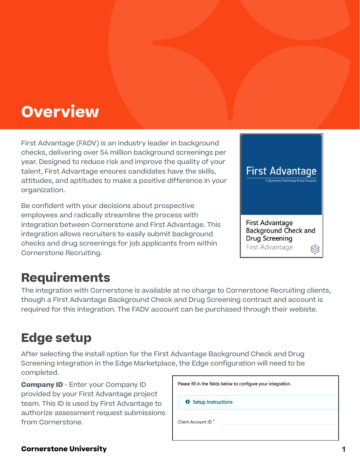### <span id="page-2-0"></span>**Overview**

First Advantage (FADV) is an industry leader in background checks, delivering over 54 million background screenings per year. Designed to reduce risk and improve the quality of your talent, First Advantage ensures candidates have the skills, attitudes, and aptitudes to make a positive difference in your organization.

Be confident with your decisions about prospective employees and radically streamline the process with integration between Cornerstone and First Advantage. This integration allows recruiters to easily submit background checks and drug screenings for job applicants from within Cornerstone Recruiting.



### **Requirements**

The integration with Cornerstone is available at no charge to Cornerstone Recruiting clients, though a First Advantage Background Check and Drug Screening contract and account is required for this integration. The FADV account can be purchased through their webiste.

### **Edge setup**

After selecting the Install option for the First Advantage Background Check and Drug Screening integration in the Edge Marketplace, the Edge configuration will need to be completed.

**Company ID** - Enter your Company ID provided by your First Advantage project team. This ID is used by First Advantage to authorize assessment request submissions from Cornerstone.

| Please fill in the fields below to configure your integration. |
|----------------------------------------------------------------|
| <b>6</b> Setup Instructions                                    |
| Client Account ID <sup>*</sup>                                 |

#### **Cornerstone University**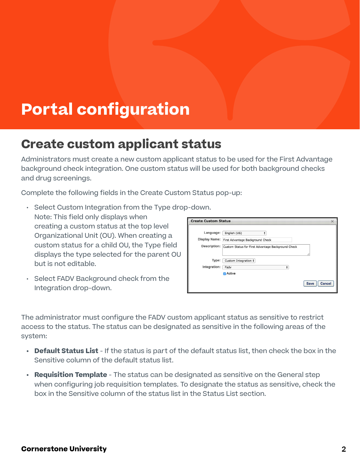## <span id="page-3-0"></span>**Portal configuration**

#### **Create custom applicant status**

Administrators must create a new custom applicant status to be used for the First Advantage background check integration. One custom status will be used for both background checks and drug screenings.

Complete the following fields in the Create Custom Status pop-up:

- Select Custom Integration from the Type drop-down. Note: This field only displays when creating a custom status at the top level Organizational Unit (OU). When creating a custom status for a child OU, the Type field displays the type selected for the parent OU but is not editable.
- Select FADV Background check from the Integration drop-down.

| <b>Create Custom Status</b>       |                                                       | $\times$                     |
|-----------------------------------|-------------------------------------------------------|------------------------------|
| Language:<br><b>Display Name:</b> | ÷<br>English (US)<br>First Advantage Background Check |                              |
| Description:                      | Custom Status for First Advantage Background Check    |                              |
| Type:                             | Custom Integration $\dagger$                          |                              |
| Integration:                      | Fadv<br>÷                                             |                              |
|                                   | Active                                                |                              |
|                                   |                                                       | <b>Cancel</b><br><b>Save</b> |

The administrator must configure the FADV custom applicant status as sensitive to restrict access to the status. The status can be designated as sensitive in the following areas of the system:

- **• Default Status List** If the status is part of the default status list, then check the box in the Sensitive column of the default status list.
- **• Requisition Template** The status can be designated as sensitive on the General step when configuring job requisition templates. To designate the status as sensitive, check the box in the Sensitive column of the status list in the Status List section.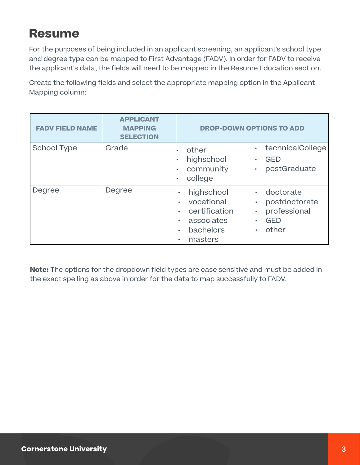#### <span id="page-4-0"></span>**Resume**

For the purposes of being included in an applicant screening, an applicant's school type and degree type can be mapped to First Advantage (FADV). In order for FADV to receive the applicant's data, the fields will need to be mapped in the Resume Education section.

Create the following fields and select the appropriate mapping option in the Applicant Mapping column:

| <b>FADV FIELD NAME</b> | <b>APPLICANT</b><br><b>MAPPING</b><br><b>SELECTION</b> | <b>DROP-DOWN OPTIONS TO ADD</b>                                                                                                                                                                                                                          |
|------------------------|--------------------------------------------------------|----------------------------------------------------------------------------------------------------------------------------------------------------------------------------------------------------------------------------------------------------------|
| <b>School Type</b>     | Grade                                                  | technicalCollege<br>$\bullet$<br>other<br>highschool<br><b>GED</b><br>$\bullet$<br>community<br>postGraduate<br>$\bullet$<br>college                                                                                                                     |
| Degree                 | Degree                                                 | highschool<br>doctorate<br>$\bullet$ .<br>$\bullet$<br>vocational<br>postdoctorate<br>$\bullet$<br>٠<br>professional<br>certification<br>$\bullet$<br>$\bullet$<br>associates<br><b>GED</b><br>$\bullet$<br>٠<br>bachelors<br>other<br>٠<br>masters<br>٠ |

**Note:** The options for the dropdown field types are case sensitive and must be added in the exact spelling as above in order for the data to map successfully to FADV.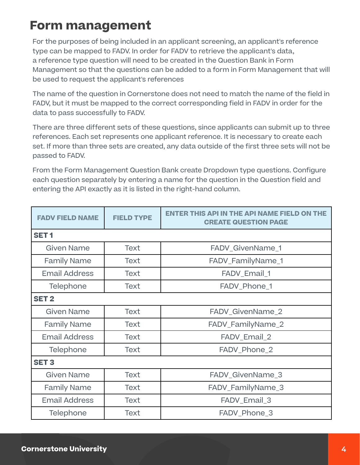#### <span id="page-5-0"></span>**Form management**

For the purposes of being included in an applicant screening, an applicant's reference type can be mapped to FADV. In order for FADV to retrieve the applicant's data, a reference type question will need to be created in the Question Bank in Form Management so that the questions can be added to a form in Form Management that will be used to request the applicant's references

The name of the question in Cornerstone does not need to match the name of the field in FADV, but it must be mapped to the correct corresponding field in FADV in order for the data to pass successfully to FADV.

There are three different sets of these questions, since applicants can submit up to three references. Each set represents one applicant reference. It is necessary to create each set. If more than three sets are created, any data outside of the first three sets will not be passed to FADV.

From the Form Management Question Bank create Dropdown type questions. Configure each question separately by entering a name for the question in the Question field and entering the API exactly as it is listed in the right-hand column.

| <b>FADV FIELD NAME</b> | <b>FIELD TYPE</b> | <b>ENTER THIS API IN THE API NAME FIELD ON THE</b><br><b>CREATE QUESTION PAGE</b> |  |
|------------------------|-------------------|-----------------------------------------------------------------------------------|--|
| SET <sub>1</sub>       |                   |                                                                                   |  |
| <b>Given Name</b>      | <b>Text</b>       | FADV_GivenName_1                                                                  |  |
| <b>Family Name</b>     | <b>Text</b>       | FADV_FamilyName_1                                                                 |  |
| <b>Email Address</b>   | <b>Text</b>       | FADV_Email_1                                                                      |  |
| Telephone              | <b>Text</b>       | FADV_Phone_1                                                                      |  |
| <b>SET 2</b>           |                   |                                                                                   |  |
| Given Name             | <b>Text</b>       | FADV_GivenName_2                                                                  |  |
| <b>Family Name</b>     | <b>Text</b>       | FADV_FamilyName_2                                                                 |  |
| <b>Email Address</b>   | <b>Text</b>       | FADV_Email_2                                                                      |  |
| Telephone              | <b>Text</b>       | FADV_Phone_2                                                                      |  |
| <b>SET 3</b>           |                   |                                                                                   |  |
| <b>Given Name</b>      | <b>Text</b>       | FADV_GivenName_3                                                                  |  |
| <b>Family Name</b>     | <b>Text</b>       | FADV_FamilyName_3                                                                 |  |
| <b>Email Address</b>   | <b>Text</b>       | FADV_Email_3                                                                      |  |
| Telephone              | <b>Text</b>       | FADV_Phone_3                                                                      |  |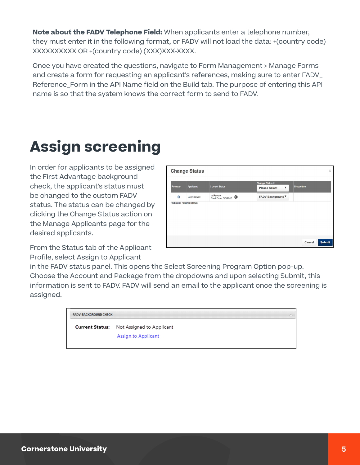<span id="page-6-0"></span>**Note about the FADV Telephone Field:** When applicants enter a telephone number, they must enter it in the following format, or FADV will not load the data: +(country code) XXXXXXXXXX OR +(country code) (XXX)XXX-XXXX.

Once you have created the questions, navigate to Form Management > Manage Forms and create a form for requesting an applicant's references, making sure to enter FADV\_ Reference Form in the API Name field on the Build tab. The purpose of entering this API name is so that the system knows the correct form to send to FADV.

## **Assign screening**

In order for applicants to be assigned the First Advantage background check, the applicant's status must be changed to the custom FADV status. The status can be changed by clicking the Change Status action on the Manage Applicants page for the desired applicants.

From the Status tab of the Applicant Profile, select Assign to Applicant

|        | <b>Change Status</b>       |                                   |                                                                   |                    | $\times$      |
|--------|----------------------------|-----------------------------------|-------------------------------------------------------------------|--------------------|---------------|
| Remove | Applicant                  | <b>Current Status</b>             | Change Status to<br>$\boldsymbol{\nabla}$<br><b>Please Select</b> | <b>Disposition</b> |               |
| 匬      | <b>Lucy Sewell</b>         | In Review<br>Start Date: 3/3/2015 | <b>FADV Background ▼</b>                                          |                    |               |
|        | *Indicates required status |                                   |                                                                   |                    |               |
|        |                            |                                   |                                                                   |                    |               |
|        |                            |                                   |                                                                   |                    |               |
|        |                            |                                   |                                                                   |                    |               |
|        |                            |                                   |                                                                   | Cancel             | <b>Submit</b> |

in the FADV status panel. This opens the Select Screening Program Option pop-up. Choose the Account and Package from the dropdowns and upon selecting Submit, this information is sent to FADV. FADV will send an email to the applicant once the screening is assigned.

| <b>FADV BACKGROUND CHECK</b> |                                                  |  |
|------------------------------|--------------------------------------------------|--|
|                              | <b>Current Status:</b> Not Assigned to Applicant |  |
|                              | <b>Assign to Applicant</b>                       |  |
|                              |                                                  |  |